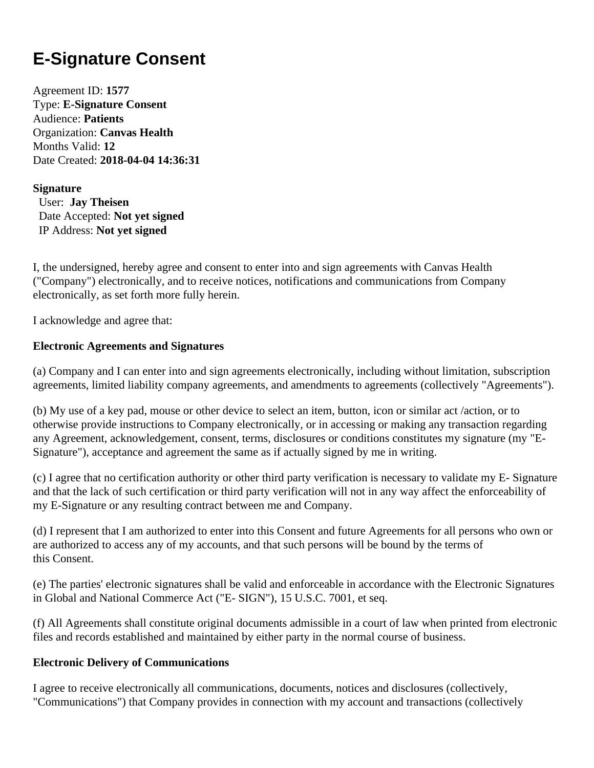# **E-Signature Consent**

Agreement ID: **1577** Type: **E-Signature Consent** Audience: **Patients** Organization: **Canvas Health** Months Valid: **12** Date Created: **2018-04-04 14:36:31**

#### **Signature**

 User: **Jay Theisen** Date Accepted: **Not yet signed** IP Address: **Not yet signed**

I, the undersigned, hereby agree and consent to enter into and sign agreements with Canvas Health ("Company") electronically, and to receive notices, notifications and communications from Company electronically, as set forth more fully herein.

I acknowledge and agree that:

## **Electronic Agreements and Signatures**

(a) Company and I can enter into and sign agreements electronically, including without limitation, subscription agreements, limited liability company agreements, and amendments to agreements (collectively "Agreements").

(b) My use of a key pad, mouse or other device to select an item, button, icon or similar act /action, or to otherwise provide instructions to Company electronically, or in accessing or making any transaction regarding any Agreement, acknowledgement, consent, terms, disclosures or conditions constitutes my signature (my "E-Signature"), acceptance and agreement the same as if actually signed by me in writing.

(c) I agree that no certification authority or other third party verification is necessary to validate my E- Signature and that the lack of such certification or third party verification will not in any way affect the enforceability of my E-Signature or any resulting contract between me and Company.

(d) I represent that I am authorized to enter into this Consent and future Agreements for all persons who own or are authorized to access any of my accounts, and that such persons will be bound by the terms of this Consent.

(e) The parties' electronic signatures shall be valid and enforceable in accordance with the Electronic Signatures in Global and National Commerce Act ("E- SIGN"), 15 U.S.C. 7001, et seq.

(f) All Agreements shall constitute original documents admissible in a court of law when printed from electronic files and records established and maintained by either party in the normal course of business.

## **Electronic Delivery of Communications**

I agree to receive electronically all communications, documents, notices and disclosures (collectively, "Communications") that Company provides in connection with my account and transactions (collectively